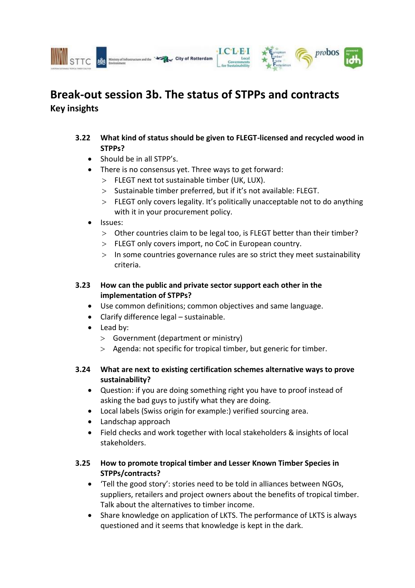



City of Rotterdam

## **3.22 What kind of status should be given to FLEGT-licensed and recycled wood in STPPs?**

- $\bullet$  Should be in all STPP's.
- There is no consensus yet. Three ways to get forward:
	- FLEGT next tot sustainable timber (UK, LUX).
	- $>$  Sustainable timber preferred, but if it's not available: FLEGT.
	- FLEGT only covers legality. It's politically unacceptable not to do anything with it in your procurement policy.
- Issues:
	- Other countries claim to be legal too, is FLEGT better than their timber?
	- > FLEGT only covers import, no CoC in European country.
	- $>$  In some countries governance rules are so strict they meet sustainability criteria.

## **3.23 How can the public and private sector support each other in the implementation of STPPs?**

- Use common definitions; common objectives and same language.
- Clarify difference legal sustainable.
- Lead by:
	- Government (department or ministry)
	- Agenda: not specific for tropical timber, but generic for timber.

#### **3.24 What are next to existing certification schemes alternative ways to prove sustainability?**

- Question: if you are doing something right you have to proof instead of asking the bad guys to justify what they are doing.
- Local labels (Swiss origin for example:) verified sourcing area.
- Landschap approach
- Field checks and work together with local stakeholders & insights of local stakeholders.

## **3.25 How to promote tropical timber and Lesser Known Timber Species in STPPs/contracts?**

- 'Tell the good story': stories need to be told in alliances between NGOs, suppliers, retailers and project owners about the benefits of tropical timber. Talk about the alternatives to timber income.
- Share knowledge on application of LKTS. The performance of LKTS is always questioned and it seems that knowledge is kept in the dark.